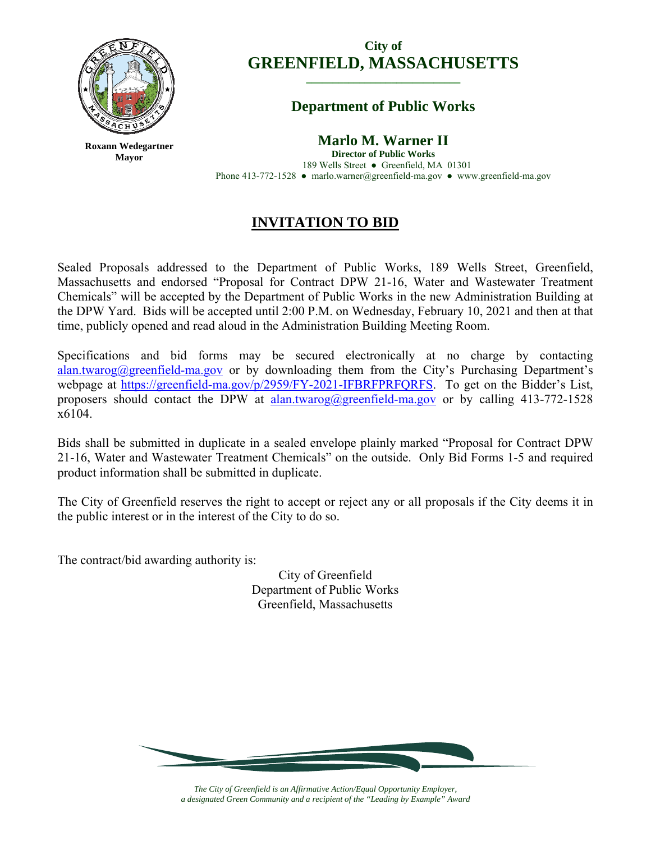

**Roxann Wedegartner Mayor** 

# **City of GREENFIELD, MASSACHUSETTS \_\_\_\_\_\_\_\_\_\_\_\_\_\_\_\_\_\_\_\_\_\_\_\_\_\_\_\_\_**

# **Department of Public Works**

**Marlo M. Warner II** 

**Director of Public Works**  189 Wells Street ● Greenfield, MA 01301 Phone 413-772-1528 ● marlo.warner@greenfield-ma.gov ● www.greenfield-ma.gov

# **INVITATION TO BID**

Sealed Proposals addressed to the Department of Public Works, 189 Wells Street, Greenfield, Massachusetts and endorsed "Proposal for Contract DPW 21-16, Water and Wastewater Treatment Chemicals" will be accepted by the Department of Public Works in the new Administration Building at the DPW Yard. Bids will be accepted until 2:00 P.M. on Wednesday, February 10, 2021 and then at that time, publicly opened and read aloud in the Administration Building Meeting Room.

Specifications and bid forms may be secured electronically at no charge by contacting alan.twarog@greenfield-ma.gov or by downloading them from the City's Purchasing Department's webpage at https://greenfield-ma.gov/p/2959/FY-2021-IFBRFPRFQRFS. To get on the Bidder's List, proposers should contact the DPW at alan.twarog@greenfield-ma.gov or by calling 413-772-1528 x6104.

Bids shall be submitted in duplicate in a sealed envelope plainly marked "Proposal for Contract DPW 21-16, Water and Wastewater Treatment Chemicals" on the outside. Only Bid Forms 1-5 and required product information shall be submitted in duplicate.

The City of Greenfield reserves the right to accept or reject any or all proposals if the City deems it in the public interest or in the interest of the City to do so.

The contract/bid awarding authority is:

City of Greenfield Department of Public Works Greenfield, Massachusetts



*The City of Greenfield is an Affirmative Action/Equal Opportunity Employer, a designated Green Community and a recipient of the "Leading by Example" Award*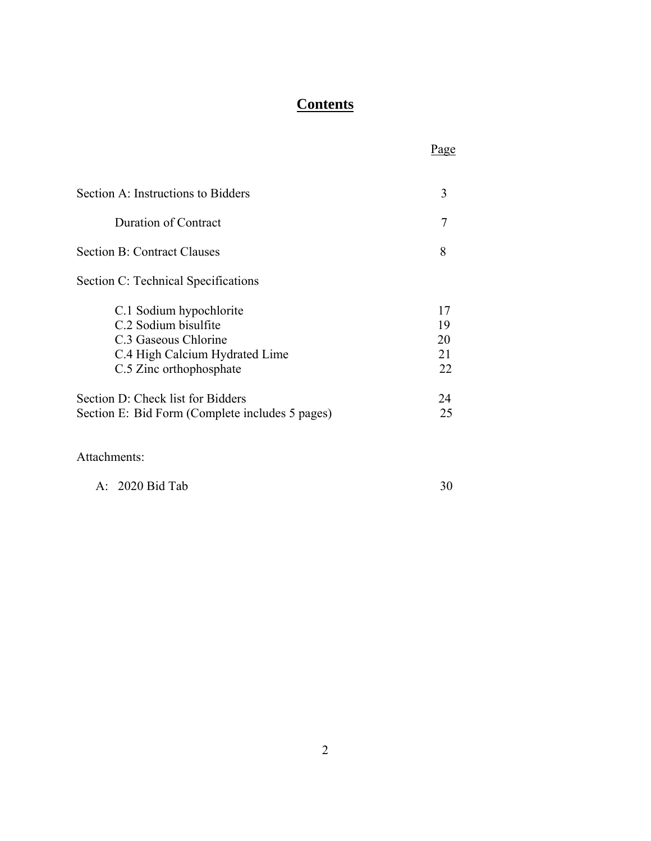# **Contents**

| Section A: Instructions to Bidders              | 3  |
|-------------------------------------------------|----|
| <b>Duration of Contract</b>                     | 7  |
| <b>Section B: Contract Clauses</b>              | 8  |
| Section C: Technical Specifications             |    |
| C.1 Sodium hypochlorite                         | 17 |
| C.2 Sodium bisulfite                            | 19 |
| C.3 Gaseous Chlorine                            | 20 |
| C.4 High Calcium Hydrated Lime                  | 21 |
| C.5 Zinc orthophosphate                         | 22 |
| Section D: Check list for Bidders               | 24 |
| Section E: Bid Form (Complete includes 5 pages) | 25 |
|                                                 |    |

<u>Page</u>

Attachments:

A: 2020 Bid Tab 30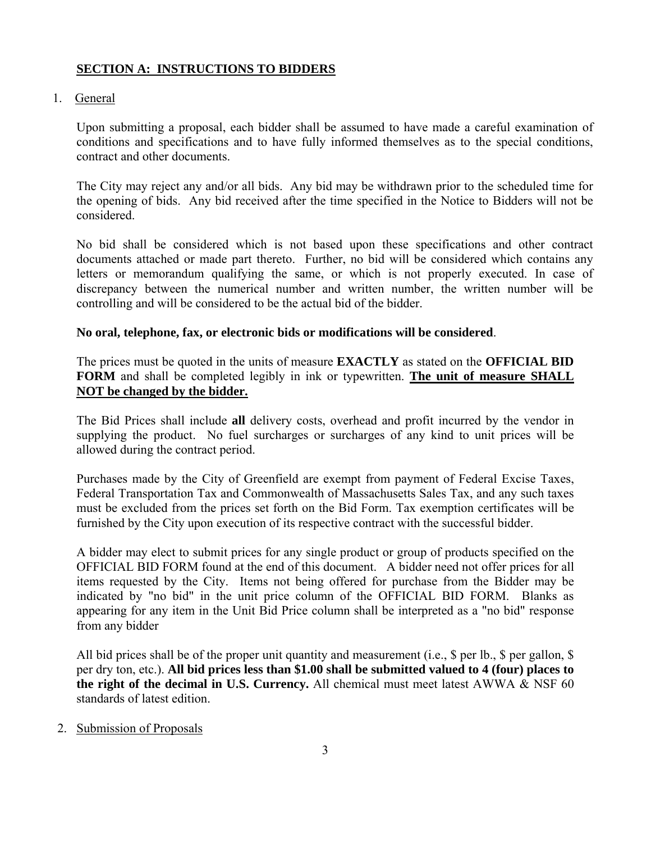## **SECTION A: INSTRUCTIONS TO BIDDERS**

## 1. General

Upon submitting a proposal, each bidder shall be assumed to have made a careful examination of conditions and specifications and to have fully informed themselves as to the special conditions, contract and other documents.

The City may reject any and/or all bids. Any bid may be withdrawn prior to the scheduled time for the opening of bids. Any bid received after the time specified in the Notice to Bidders will not be considered.

No bid shall be considered which is not based upon these specifications and other contract documents attached or made part thereto. Further, no bid will be considered which contains any letters or memorandum qualifying the same, or which is not properly executed. In case of discrepancy between the numerical number and written number, the written number will be controlling and will be considered to be the actual bid of the bidder.

## **No oral, telephone, fax, or electronic bids or modifications will be considered**.

The prices must be quoted in the units of measure **EXACTLY** as stated on the **OFFICIAL BID FORM** and shall be completed legibly in ink or typewritten. **The unit of measure SHALL NOT be changed by the bidder.**

The Bid Prices shall include **all** delivery costs, overhead and profit incurred by the vendor in supplying the product. No fuel surcharges or surcharges of any kind to unit prices will be allowed during the contract period.

Purchases made by the City of Greenfield are exempt from payment of Federal Excise Taxes, Federal Transportation Tax and Commonwealth of Massachusetts Sales Tax, and any such taxes must be excluded from the prices set forth on the Bid Form. Tax exemption certificates will be furnished by the City upon execution of its respective contract with the successful bidder.

A bidder may elect to submit prices for any single product or group of products specified on the OFFICIAL BID FORM found at the end of this document. A bidder need not offer prices for all items requested by the City. Items not being offered for purchase from the Bidder may be indicated by "no bid" in the unit price column of the OFFICIAL BID FORM. Blanks as appearing for any item in the Unit Bid Price column shall be interpreted as a "no bid" response from any bidder

All bid prices shall be of the proper unit quantity and measurement (i.e., \$ per lb., \$ per gallon, \$ per dry ton, etc.). **All bid prices less than \$1.00 shall be submitted valued to 4 (four) places to the right of the decimal in U.S. Currency.** All chemical must meet latest AWWA  $\&$  NSF 60 standards of latest edition.

## 2. Submission of Proposals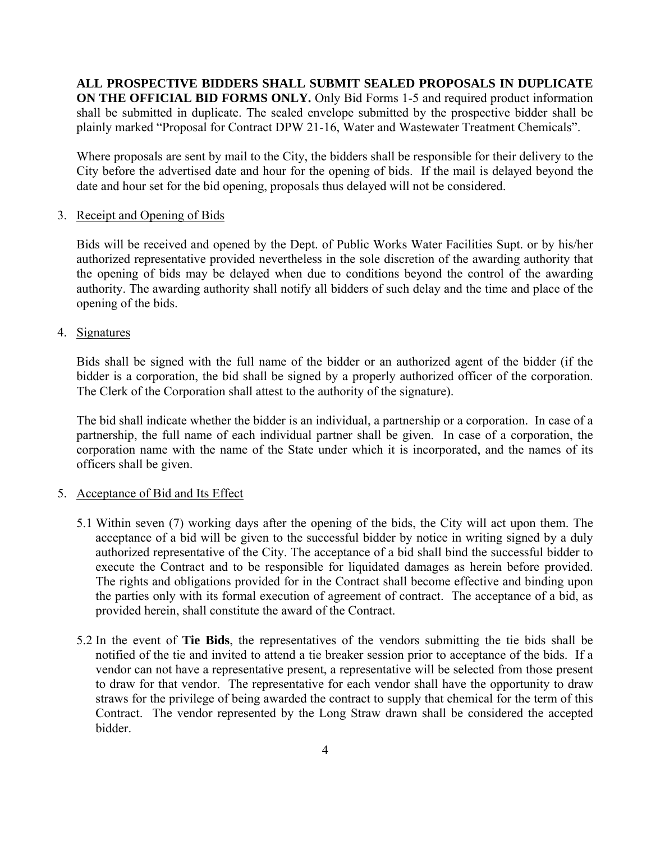**ALL PROSPECTIVE BIDDERS SHALL SUBMIT SEALED PROPOSALS IN DUPLICATE ON THE OFFICIAL BID FORMS ONLY.** Only Bid Forms 1-5 and required product information shall be submitted in duplicate. The sealed envelope submitted by the prospective bidder shall be plainly marked "Proposal for Contract DPW 21-16, Water and Wastewater Treatment Chemicals".

Where proposals are sent by mail to the City, the bidders shall be responsible for their delivery to the City before the advertised date and hour for the opening of bids. If the mail is delayed beyond the date and hour set for the bid opening, proposals thus delayed will not be considered.

#### 3. Receipt and Opening of Bids

Bids will be received and opened by the Dept. of Public Works Water Facilities Supt. or by his/her authorized representative provided nevertheless in the sole discretion of the awarding authority that the opening of bids may be delayed when due to conditions beyond the control of the awarding authority. The awarding authority shall notify all bidders of such delay and the time and place of the opening of the bids.

4. Signatures

Bids shall be signed with the full name of the bidder or an authorized agent of the bidder (if the bidder is a corporation, the bid shall be signed by a properly authorized officer of the corporation. The Clerk of the Corporation shall attest to the authority of the signature).

The bid shall indicate whether the bidder is an individual, a partnership or a corporation. In case of a partnership, the full name of each individual partner shall be given. In case of a corporation, the corporation name with the name of the State under which it is incorporated, and the names of its officers shall be given.

## 5. Acceptance of Bid and Its Effect

- 5.1 Within seven (7) working days after the opening of the bids, the City will act upon them. The acceptance of a bid will be given to the successful bidder by notice in writing signed by a duly authorized representative of the City. The acceptance of a bid shall bind the successful bidder to execute the Contract and to be responsible for liquidated damages as herein before provided. The rights and obligations provided for in the Contract shall become effective and binding upon the parties only with its formal execution of agreement of contract. The acceptance of a bid, as provided herein, shall constitute the award of the Contract.
- 5.2 In the event of **Tie Bids**, the representatives of the vendors submitting the tie bids shall be notified of the tie and invited to attend a tie breaker session prior to acceptance of the bids. If a vendor can not have a representative present, a representative will be selected from those present to draw for that vendor. The representative for each vendor shall have the opportunity to draw straws for the privilege of being awarded the contract to supply that chemical for the term of this Contract. The vendor represented by the Long Straw drawn shall be considered the accepted bidder.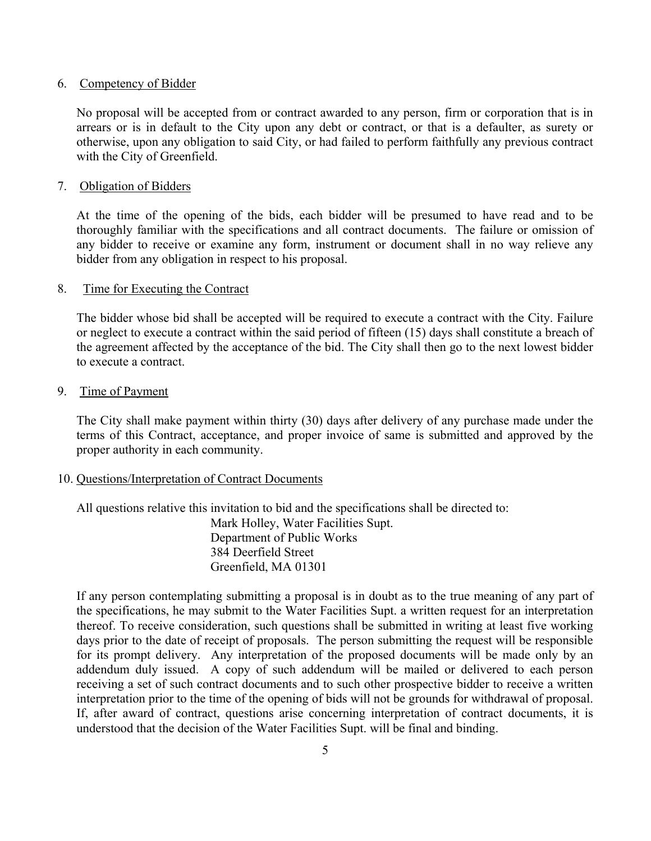#### 6. Competency of Bidder

No proposal will be accepted from or contract awarded to any person, firm or corporation that is in arrears or is in default to the City upon any debt or contract, or that is a defaulter, as surety or otherwise, upon any obligation to said City, or had failed to perform faithfully any previous contract with the City of Greenfield.

#### 7. Obligation of Bidders

At the time of the opening of the bids, each bidder will be presumed to have read and to be thoroughly familiar with the specifications and all contract documents. The failure or omission of any bidder to receive or examine any form, instrument or document shall in no way relieve any bidder from any obligation in respect to his proposal.

#### 8. Time for Executing the Contract

The bidder whose bid shall be accepted will be required to execute a contract with the City. Failure or neglect to execute a contract within the said period of fifteen (15) days shall constitute a breach of the agreement affected by the acceptance of the bid. The City shall then go to the next lowest bidder to execute a contract.

#### 9. Time of Payment

The City shall make payment within thirty (30) days after delivery of any purchase made under the terms of this Contract, acceptance, and proper invoice of same is submitted and approved by the proper authority in each community.

#### 10. Questions/Interpretation of Contract Documents

All questions relative this invitation to bid and the specifications shall be directed to: Mark Holley, Water Facilities Supt. Department of Public Works

 384 Deerfield Street Greenfield, MA 01301

If any person contemplating submitting a proposal is in doubt as to the true meaning of any part of the specifications, he may submit to the Water Facilities Supt. a written request for an interpretation thereof. To receive consideration, such questions shall be submitted in writing at least five working days prior to the date of receipt of proposals. The person submitting the request will be responsible for its prompt delivery. Any interpretation of the proposed documents will be made only by an addendum duly issued. A copy of such addendum will be mailed or delivered to each person receiving a set of such contract documents and to such other prospective bidder to receive a written interpretation prior to the time of the opening of bids will not be grounds for withdrawal of proposal. If, after award of contract, questions arise concerning interpretation of contract documents, it is understood that the decision of the Water Facilities Supt. will be final and binding.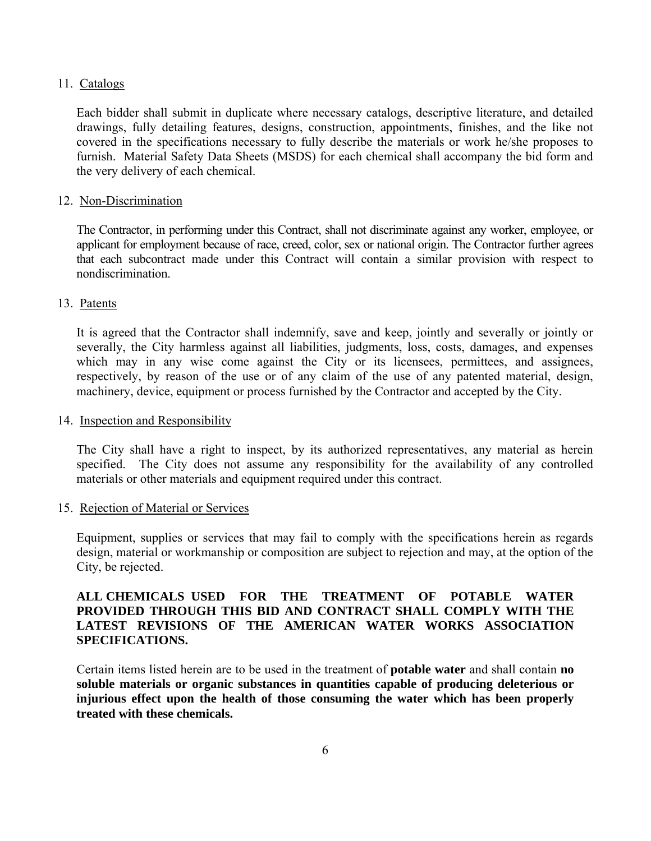#### 11. Catalogs

Each bidder shall submit in duplicate where necessary catalogs, descriptive literature, and detailed drawings, fully detailing features, designs, construction, appointments, finishes, and the like not covered in the specifications necessary to fully describe the materials or work he/she proposes to furnish. Material Safety Data Sheets (MSDS) for each chemical shall accompany the bid form and the very delivery of each chemical.

#### 12. Non-Discrimination

The Contractor, in performing under this Contract, shall not discriminate against any worker, employee, or applicant for employment because of race, creed, color, sex or national origin. The Contractor further agrees that each subcontract made under this Contract will contain a similar provision with respect to nondiscrimination.

#### 13. Patents

It is agreed that the Contractor shall indemnify, save and keep, jointly and severally or jointly or severally, the City harmless against all liabilities, judgments, loss, costs, damages, and expenses which may in any wise come against the City or its licensees, permittees, and assignees, respectively, by reason of the use or of any claim of the use of any patented material, design, machinery, device, equipment or process furnished by the Contractor and accepted by the City.

#### 14. Inspection and Responsibility

The City shall have a right to inspect, by its authorized representatives, any material as herein specified. The City does not assume any responsibility for the availability of any controlled materials or other materials and equipment required under this contract.

#### 15. Rejection of Material or Services

Equipment, supplies or services that may fail to comply with the specifications herein as regards design, material or workmanship or composition are subject to rejection and may, at the option of the City, be rejected.

## **ALL CHEMICALS USED FOR THE TREATMENT OF POTABLE WATER PROVIDED THROUGH THIS BID AND CONTRACT SHALL COMPLY WITH THE LATEST REVISIONS OF THE AMERICAN WATER WORKS ASSOCIATION SPECIFICATIONS.**

Certain items listed herein are to be used in the treatment of **potable water** and shall contain **no soluble materials or organic substances in quantities capable of producing deleterious or injurious effect upon the health of those consuming the water which has been properly treated with these chemicals.**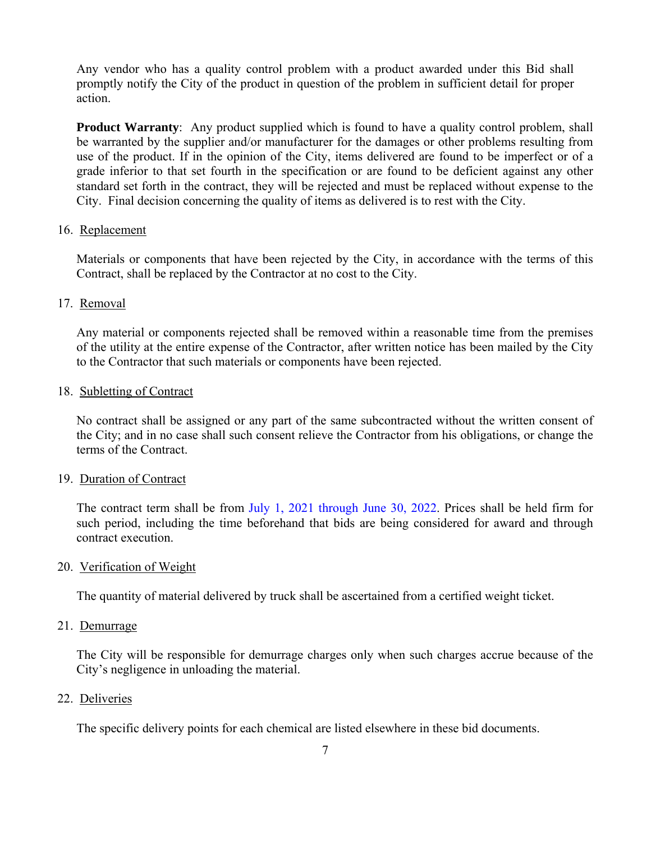Any vendor who has a quality control problem with a product awarded under this Bid shall promptly notify the City of the product in question of the problem in sufficient detail for proper action.

**Product Warranty**: Any product supplied which is found to have a quality control problem, shall be warranted by the supplier and/or manufacturer for the damages or other problems resulting from use of the product. If in the opinion of the City, items delivered are found to be imperfect or of a grade inferior to that set fourth in the specification or are found to be deficient against any other standard set forth in the contract, they will be rejected and must be replaced without expense to the City. Final decision concerning the quality of items as delivered is to rest with the City.

## 16. Replacement

Materials or components that have been rejected by the City, in accordance with the terms of this Contract, shall be replaced by the Contractor at no cost to the City.

#### 17. Removal

Any material or components rejected shall be removed within a reasonable time from the premises of the utility at the entire expense of the Contractor, after written notice has been mailed by the City to the Contractor that such materials or components have been rejected.

#### 18. Subletting of Contract

No contract shall be assigned or any part of the same subcontracted without the written consent of the City; and in no case shall such consent relieve the Contractor from his obligations, or change the terms of the Contract.

#### 19. Duration of Contract

The contract term shall be from July 1, 2021 through June 30, 2022. Prices shall be held firm for such period, including the time beforehand that bids are being considered for award and through contract execution.

#### 20. Verification of Weight

The quantity of material delivered by truck shall be ascertained from a certified weight ticket.

#### 21. Demurrage

The City will be responsible for demurrage charges only when such charges accrue because of the City's negligence in unloading the material.

#### 22. Deliveries

The specific delivery points for each chemical are listed elsewhere in these bid documents.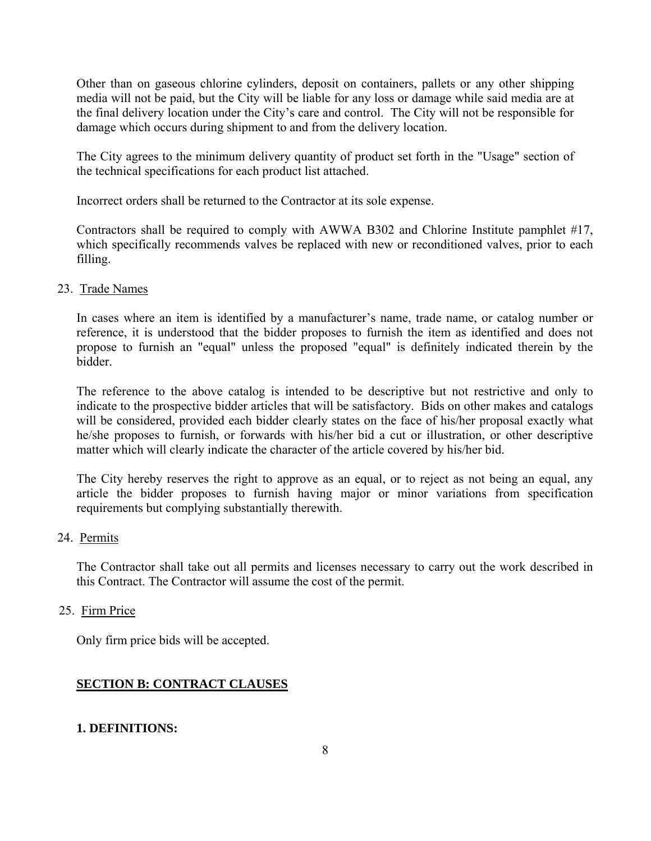Other than on gaseous chlorine cylinders, deposit on containers, pallets or any other shipping media will not be paid, but the City will be liable for any loss or damage while said media are at the final delivery location under the City's care and control. The City will not be responsible for damage which occurs during shipment to and from the delivery location.

The City agrees to the minimum delivery quantity of product set forth in the "Usage" section of the technical specifications for each product list attached.

Incorrect orders shall be returned to the Contractor at its sole expense.

Contractors shall be required to comply with AWWA B302 and Chlorine Institute pamphlet #17, which specifically recommends valves be replaced with new or reconditioned valves, prior to each filling.

#### 23. Trade Names

In cases where an item is identified by a manufacturer's name, trade name, or catalog number or reference, it is understood that the bidder proposes to furnish the item as identified and does not propose to furnish an "equal" unless the proposed "equal" is definitely indicated therein by the bidder.

The reference to the above catalog is intended to be descriptive but not restrictive and only to indicate to the prospective bidder articles that will be satisfactory. Bids on other makes and catalogs will be considered, provided each bidder clearly states on the face of his/her proposal exactly what he/she proposes to furnish, or forwards with his/her bid a cut or illustration, or other descriptive matter which will clearly indicate the character of the article covered by his/her bid.

The City hereby reserves the right to approve as an equal, or to reject as not being an equal, any article the bidder proposes to furnish having major or minor variations from specification requirements but complying substantially therewith.

## 24. Permits

The Contractor shall take out all permits and licenses necessary to carry out the work described in this Contract. The Contractor will assume the cost of the permit.

## 25. Firm Price

Only firm price bids will be accepted.

## **SECTION B: CONTRACT CLAUSES**

## **1. DEFINITIONS:**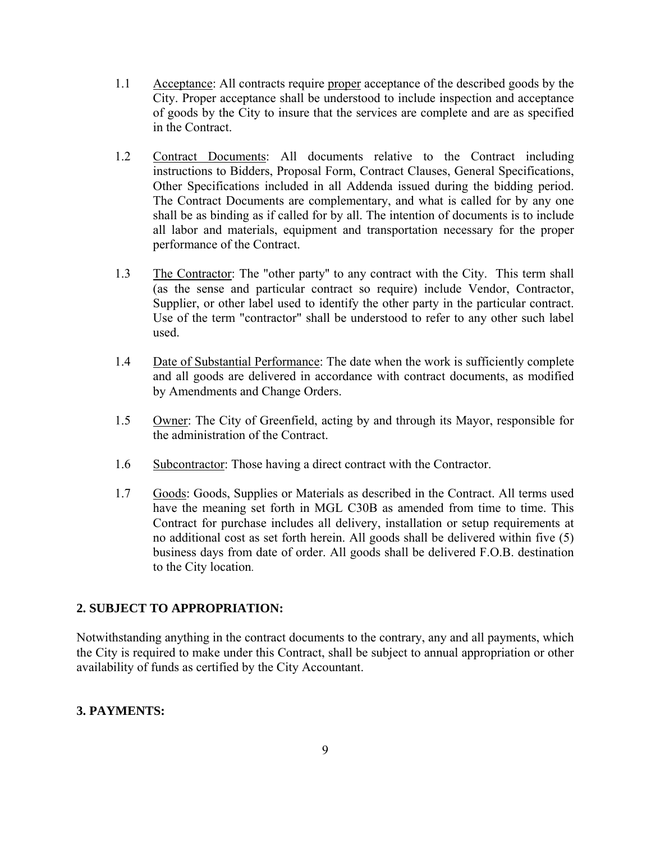- 1.1 Acceptance: All contracts require proper acceptance of the described goods by the City. Proper acceptance shall be understood to include inspection and acceptance of goods by the City to insure that the services are complete and are as specified in the Contract.
- 1.2 Contract Documents: All documents relative to the Contract including instructions to Bidders, Proposal Form, Contract Clauses, General Specifications, Other Specifications included in all Addenda issued during the bidding period. The Contract Documents are complementary, and what is called for by any one shall be as binding as if called for by all. The intention of documents is to include all labor and materials, equipment and transportation necessary for the proper performance of the Contract.
- 1.3 The Contractor: The "other party'' to any contract with the City. This term shall (as the sense and particular contract so require) include Vendor, Contractor, Supplier, or other label used to identify the other party in the particular contract. Use of the term "contractor" shall be understood to refer to any other such label used.
- 1.4 Date of Substantial Performance: The date when the work is sufficiently complete and all goods are delivered in accordance with contract documents, as modified by Amendments and Change Orders.
- 1.5 Owner: The City of Greenfield, acting by and through its Mayor, responsible for the administration of the Contract.
- 1.6 Subcontractor: Those having a direct contract with the Contractor.
- 1.7 Goods: Goods, Supplies or Materials as described in the Contract. All terms used have the meaning set forth in MGL C30B as amended from time to time. This Contract for purchase includes all delivery, installation or setup requirements at no additional cost as set forth herein. All goods shall be delivered within five (5) business days from date of order. All goods shall be delivered F.O.B. destination to the City location.

## **2. SUBJECT TO APPROPRIATION:**

Notwithstanding anything in the contract documents to the contrary, any and all payments, which the City is required to make under this Contract, shall be subject to annual appropriation or other availability of funds as certified by the City Accountant.

## **3. PAYMENTS:**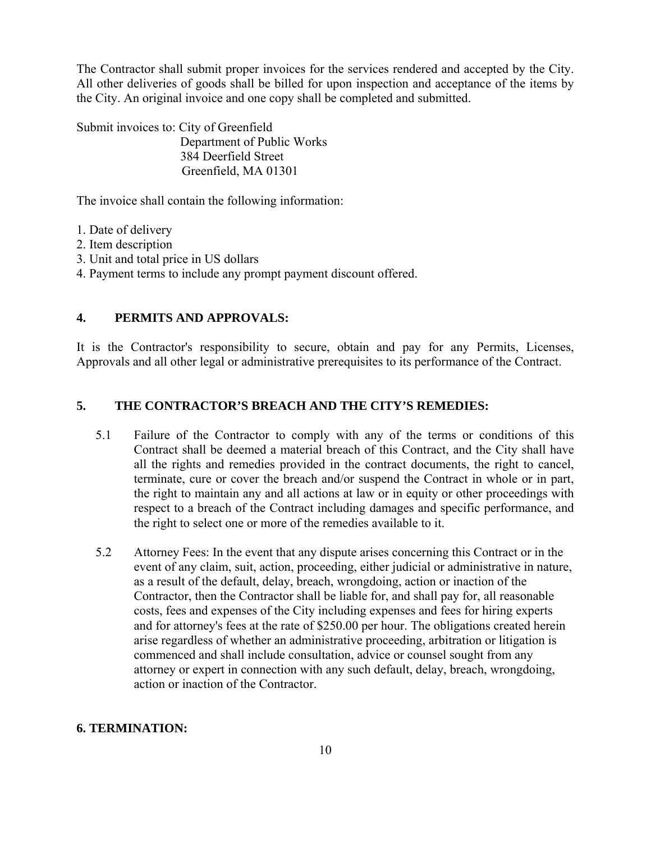The Contractor shall submit proper invoices for the services rendered and accepted by the City. All other deliveries of goods shall be billed for upon inspection and acceptance of the items by the City. An original invoice and one copy shall be completed and submitted.

Submit invoices to: City of Greenfield Department of Public Works 384 Deerfield Street Greenfield, MA 01301

The invoice shall contain the following information:

- 1. Date of delivery
- 2. Item description
- 3. Unit and total price in US dollars
- 4. Payment terms to include any prompt payment discount offered.

## **4. PERMITS AND APPROVALS:**

It is the Contractor's responsibility to secure, obtain and pay for any Permits, Licenses, Approvals and all other legal or administrative prerequisites to its performance of the Contract.

## **5. THE CONTRACTOR'S BREACH AND THE CITY'S REMEDIES:**

- 5.1 Failure of the Contractor to comply with any of the terms or conditions of this Contract shall be deemed a material breach of this Contract, and the City shall have all the rights and remedies provided in the contract documents, the right to cancel, terminate, cure or cover the breach and/or suspend the Contract in whole or in part, the right to maintain any and all actions at law or in equity or other proceedings with respect to a breach of the Contract including damages and specific performance, and the right to select one or more of the remedies available to it.
- 5.2 Attorney Fees: In the event that any dispute arises concerning this Contract or in the event of any claim, suit, action, proceeding, either judicial or administrative in nature, as a result of the default, delay, breach, wrongdoing, action or inaction of the Contractor, then the Contractor shall be liable for, and shall pay for, all reasonable costs, fees and expenses of the City including expenses and fees for hiring experts and for attorney's fees at the rate of \$250.00 per hour. The obligations created herein arise regardless of whether an administrative proceeding, arbitration or litigation is commenced and shall include consultation, advice or counsel sought from any attorney or expert in connection with any such default, delay, breach, wrongdoing, action or inaction of the Contractor.

#### **6. TERMINATION:**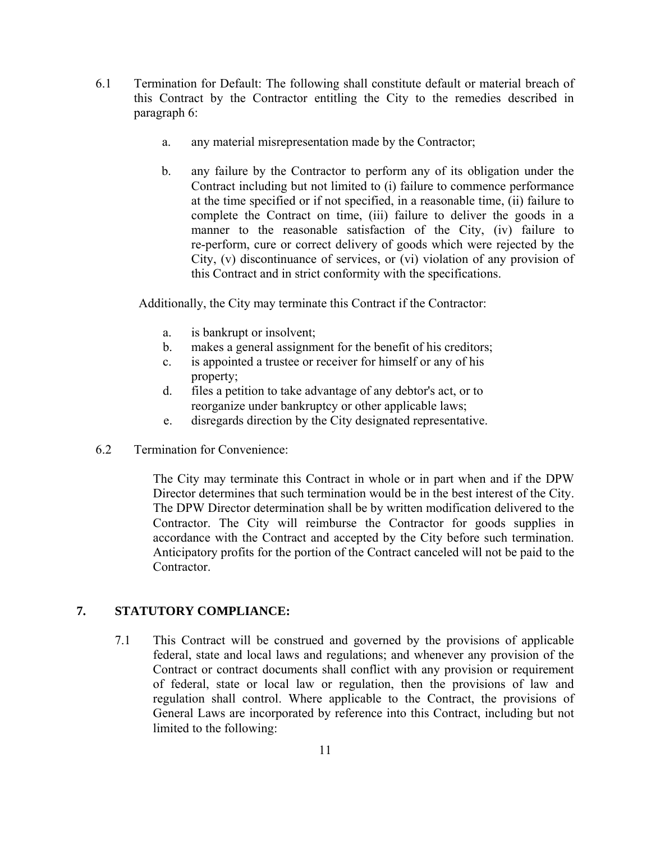- 6.1 Termination for Default: The following shall constitute default or material breach of this Contract by the Contractor entitling the City to the remedies described in paragraph 6:
	- a. any material misrepresentation made by the Contractor;
	- b. any failure by the Contractor to perform any of its obligation under the Contract including but not limited to (i) failure to commence performance at the time specified or if not specified, in a reasonable time, (ii) failure to complete the Contract on time, (iii) failure to deliver the goods in a manner to the reasonable satisfaction of the City, (iv) failure to re-perform, cure or correct delivery of goods which were rejected by the City, (v) discontinuance of services, or (vi) violation of any provision of this Contract and in strict conformity with the specifications.

Additionally, the City may terminate this Contract if the Contractor:

- a. is bankrupt or insolvent;
- b. makes a general assignment for the benefit of his creditors;
- c. is appointed a trustee or receiver for himself or any of his property;
- d. files a petition to take advantage of any debtor's act, or to reorganize under bankruptcy or other applicable laws;
- e. disregards direction by the City designated representative.
- 6.2 Termination for Convenience:

The City may terminate this Contract in whole or in part when and if the DPW Director determines that such termination would be in the best interest of the City. The DPW Director determination shall be by written modification delivered to the Contractor. The City will reimburse the Contractor for goods supplies in accordance with the Contract and accepted by the City before such termination. Anticipatory profits for the portion of the Contract canceled will not be paid to the **Contractor** 

## **7. STATUTORY COMPLIANCE:**

7.1 This Contract will be construed and governed by the provisions of applicable federal, state and local laws and regulations; and whenever any provision of the Contract or contract documents shall conflict with any provision or requirement of federal, state or local law or regulation, then the provisions of law and regulation shall control. Where applicable to the Contract, the provisions of General Laws are incorporated by reference into this Contract, including but not limited to the following: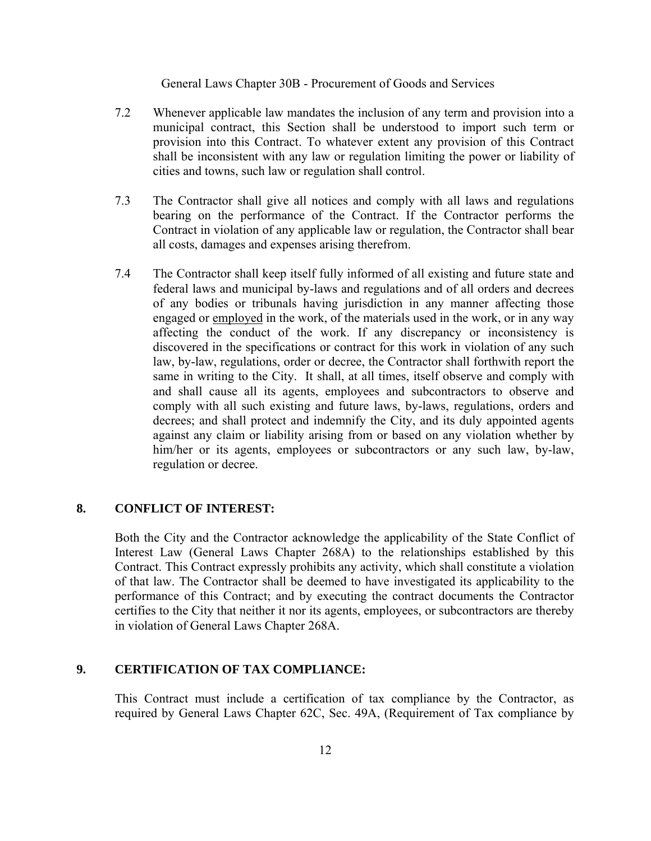General Laws Chapter 30B - Procurement of Goods and Services

- 7.2 Whenever applicable law mandates the inclusion of any term and provision into a municipal contract, this Section shall be understood to import such term or provision into this Contract. To whatever extent any provision of this Contract shall be inconsistent with any law or regulation limiting the power or liability of cities and towns, such law or regulation shall control.
- 7.3 The Contractor shall give all notices and comply with all laws and regulations bearing on the performance of the Contract. If the Contractor performs the Contract in violation of any applicable law or regulation, the Contractor shall bear all costs, damages and expenses arising therefrom.
- 7.4 The Contractor shall keep itself fully informed of all existing and future state and federal laws and municipal by-laws and regulations and of all orders and decrees of any bodies or tribunals having jurisdiction in any manner affecting those engaged or employed in the work, of the materials used in the work, or in any way affecting the conduct of the work. If any discrepancy or inconsistency is discovered in the specifications or contract for this work in violation of any such law, by-law, regulations, order or decree, the Contractor shall forthwith report the same in writing to the City. It shall, at all times, itself observe and comply with and shall cause all its agents, employees and subcontractors to observe and comply with all such existing and future laws, by-laws, regulations, orders and decrees; and shall protect and indemnify the City, and its duly appointed agents against any claim or liability arising from or based on any violation whether by him/her or its agents, employees or subcontractors or any such law, by-law, regulation or decree.

## **8. CONFLICT OF INTEREST:**

Both the City and the Contractor acknowledge the applicability of the State Conflict of Interest Law (General Laws Chapter 268A) to the relationships established by this Contract. This Contract expressly prohibits any activity, which shall constitute a violation of that law. The Contractor shall be deemed to have investigated its applicability to the performance of this Contract; and by executing the contract documents the Contractor certifies to the City that neither it nor its agents, employees, or subcontractors are thereby in violation of General Laws Chapter 268A.

## **9. CERTIFICATION OF TAX COMPLIANCE:**

This Contract must include a certification of tax compliance by the Contractor, as required by General Laws Chapter 62C, Sec. 49A, (Requirement of Tax compliance by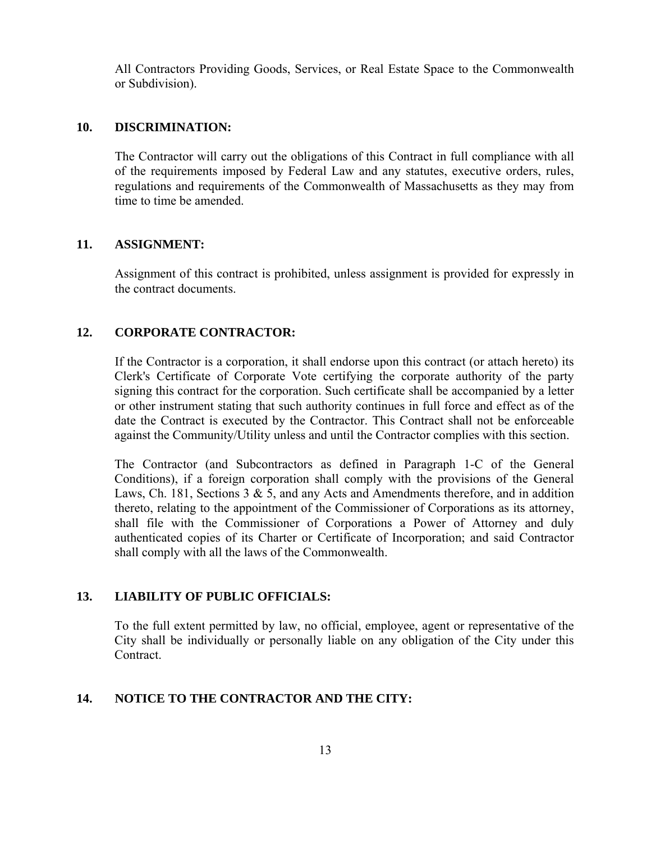All Contractors Providing Goods, Services, or Real Estate Space to the Commonwealth or Subdivision).

#### **10. DISCRIMINATION:**

The Contractor will carry out the obligations of this Contract in full compliance with all of the requirements imposed by Federal Law and any statutes, executive orders, rules, regulations and requirements of the Commonwealth of Massachusetts as they may from time to time be amended.

#### **11. ASSIGNMENT:**

Assignment of this contract is prohibited, unless assignment is provided for expressly in the contract documents.

## **12. CORPORATE CONTRACTOR:**

If the Contractor is a corporation, it shall endorse upon this contract (or attach hereto) its Clerk's Certificate of Corporate Vote certifying the corporate authority of the party signing this contract for the corporation. Such certificate shall be accompanied by a letter or other instrument stating that such authority continues in full force and effect as of the date the Contract is executed by the Contractor. This Contract shall not be enforceable against the Community/Utility unless and until the Contractor complies with this section.

The Contractor (and Subcontractors as defined in Paragraph 1-C of the General Conditions), if a foreign corporation shall comply with the provisions of the General Laws, Ch. 181, Sections  $3 \& 5$ , and any Acts and Amendments therefore, and in addition thereto, relating to the appointment of the Commissioner of Corporations as its attorney, shall file with the Commissioner of Corporations a Power of Attorney and duly authenticated copies of its Charter or Certificate of Incorporation; and said Contractor shall comply with all the laws of the Commonwealth.

## **13. LIABILITY OF PUBLIC OFFICIALS:**

To the full extent permitted by law, no official, employee, agent or representative of the City shall be individually or personally liable on any obligation of the City under this Contract.

#### **14. NOTICE TO THE CONTRACTOR AND THE CITY:**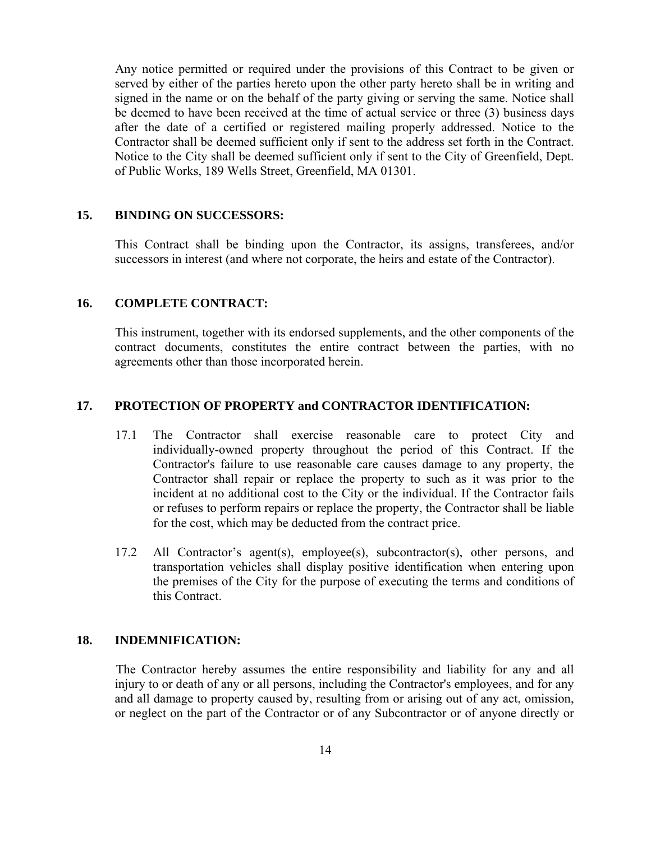Any notice permitted or required under the provisions of this Contract to be given or served by either of the parties hereto upon the other party hereto shall be in writing and signed in the name or on the behalf of the party giving or serving the same. Notice shall be deemed to have been received at the time of actual service or three (3) business days after the date of a certified or registered mailing properly addressed. Notice to the Contractor shall be deemed sufficient only if sent to the address set forth in the Contract. Notice to the City shall be deemed sufficient only if sent to the City of Greenfield, Dept. of Public Works, 189 Wells Street, Greenfield, MA 01301.

#### **15. BINDING ON SUCCESSORS:**

This Contract shall be binding upon the Contractor, its assigns, transferees, and/or successors in interest (and where not corporate, the heirs and estate of the Contractor).

#### **16. COMPLETE CONTRACT:**

This instrument, together with its endorsed supplements, and the other components of the contract documents, constitutes the entire contract between the parties, with no agreements other than those incorporated herein.

#### **17. PROTECTION OF PROPERTY and CONTRACTOR IDENTIFICATION:**

- 17.1 The Contractor shall exercise reasonable care to protect City and individually-owned property throughout the period of this Contract. If the Contractor's failure to use reasonable care causes damage to any property, the Contractor shall repair or replace the property to such as it was prior to the incident at no additional cost to the City or the individual. If the Contractor fails or refuses to perform repairs or replace the property, the Contractor shall be liable for the cost, which may be deducted from the contract price.
- 17.2 All Contractor's agent(s), employee(s), subcontractor(s), other persons, and transportation vehicles shall display positive identification when entering upon the premises of the City for the purpose of executing the terms and conditions of this Contract.

#### **18. INDEMNIFICATION:**

The Contractor hereby assumes the entire responsibility and liability for any and all injury to or death of any or all persons, including the Contractor's employees, and for any and all damage to property caused by, resulting from or arising out of any act, omission, or neglect on the part of the Contractor or of any Subcontractor or of anyone directly or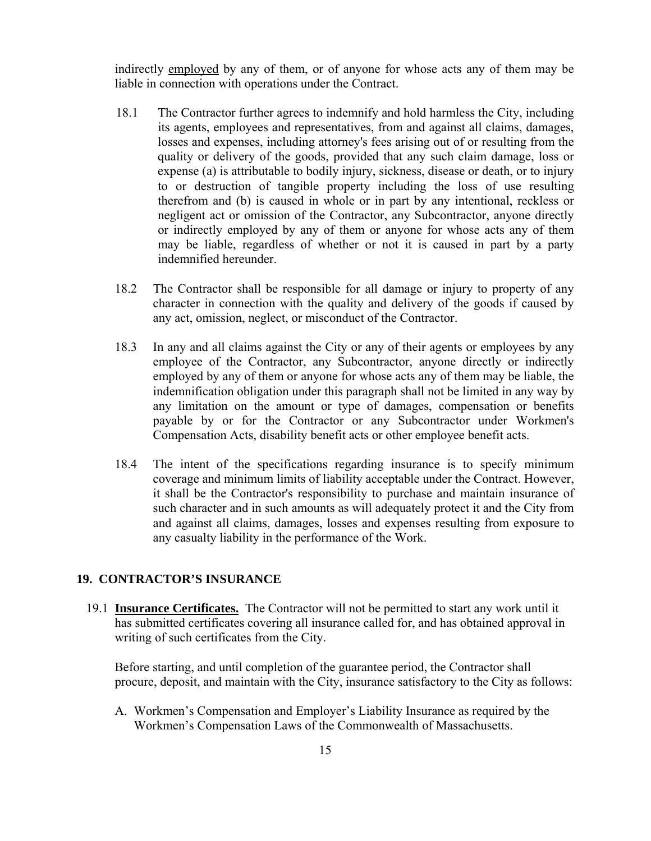indirectly employed by any of them, or of anyone for whose acts any of them may be liable in connection with operations under the Contract.

- 18.1 The Contractor further agrees to indemnify and hold harmless the City, including its agents, employees and representatives, from and against all claims, damages, losses and expenses, including attorney's fees arising out of or resulting from the quality or delivery of the goods, provided that any such claim damage, loss or expense (a) is attributable to bodily injury, sickness, disease or death, or to injury to or destruction of tangible property including the loss of use resulting therefrom and (b) is caused in whole or in part by any intentional, reckless or negligent act or omission of the Contractor, any Subcontractor, anyone directly or indirectly employed by any of them or anyone for whose acts any of them may be liable, regardless of whether or not it is caused in part by a party indemnified hereunder.
- 18.2 The Contractor shall be responsible for all damage or injury to property of any character in connection with the quality and delivery of the goods if caused by any act, omission, neglect, or misconduct of the Contractor.
- 18.3 In any and all claims against the City or any of their agents or employees by any employee of the Contractor, any Subcontractor, anyone directly or indirectly employed by any of them or anyone for whose acts any of them may be liable, the indemnification obligation under this paragraph shall not be limited in any way by any limitation on the amount or type of damages, compensation or benefits payable by or for the Contractor or any Subcontractor under Workmen's Compensation Acts, disability benefit acts or other employee benefit acts.
- 18.4 The intent of the specifications regarding insurance is to specify minimum coverage and minimum limits of liability acceptable under the Contract. However, it shall be the Contractor's responsibility to purchase and maintain insurance of such character and in such amounts as will adequately protect it and the City from and against all claims, damages, losses and expenses resulting from exposure to any casualty liability in the performance of the Work.

#### **19. CONTRACTOR'S INSURANCE**

19.1 **Insurance Certificates.** The Contractor will not be permitted to start any work until it has submitted certificates covering all insurance called for, and has obtained approval in writing of such certificates from the City.

Before starting, and until completion of the guarantee period, the Contractor shall procure, deposit, and maintain with the City, insurance satisfactory to the City as follows:

A. Workmen's Compensation and Employer's Liability Insurance as required by the Workmen's Compensation Laws of the Commonwealth of Massachusetts.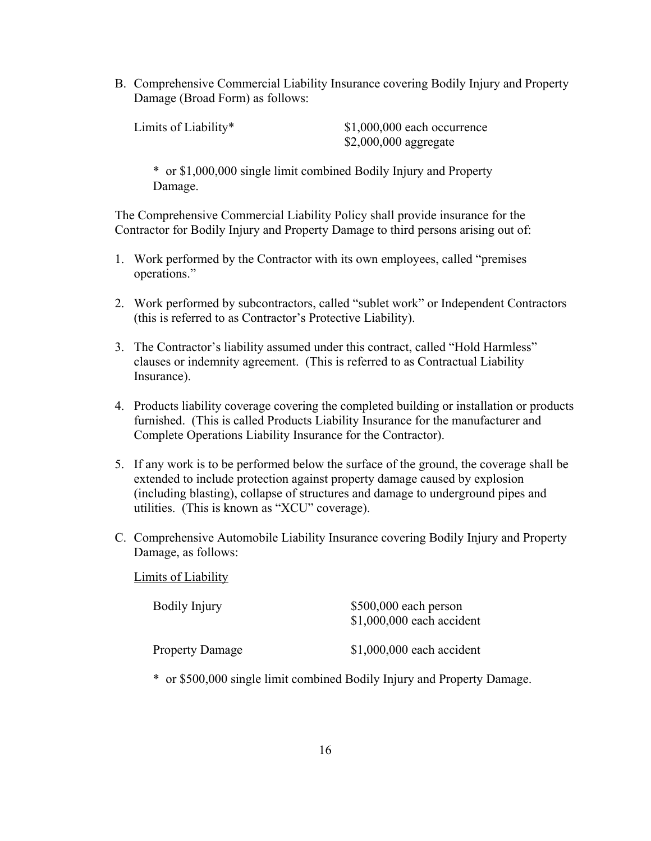B. Comprehensive Commercial Liability Insurance covering Bodily Injury and Property Damage (Broad Form) as follows:

Limits of Liability\*  $$1,000,000$  each occurrence \$2,000,000 aggregate

\* or \$1,000,000 single limit combined Bodily Injury and Property Damage.

The Comprehensive Commercial Liability Policy shall provide insurance for the Contractor for Bodily Injury and Property Damage to third persons arising out of:

- 1. Work performed by the Contractor with its own employees, called "premises operations."
- 2. Work performed by subcontractors, called "sublet work" or Independent Contractors (this is referred to as Contractor's Protective Liability).
- 3. The Contractor's liability assumed under this contract, called "Hold Harmless" clauses or indemnity agreement. (This is referred to as Contractual Liability Insurance).
- 4. Products liability coverage covering the completed building or installation or products furnished. (This is called Products Liability Insurance for the manufacturer and Complete Operations Liability Insurance for the Contractor).
- 5. If any work is to be performed below the surface of the ground, the coverage shall be extended to include protection against property damage caused by explosion (including blasting), collapse of structures and damage to underground pipes and utilities. (This is known as "XCU" coverage).
- C. Comprehensive Automobile Liability Insurance covering Bodily Injury and Property Damage, as follows:

Limits of Liability

| <b>Bodily Injury</b>   | $$500,000$ each person<br>$$1,000,000$ each accident |  |  |
|------------------------|------------------------------------------------------|--|--|
| <b>Property Damage</b> | $$1,000,000$ each accident                           |  |  |

\* or \$500,000 single limit combined Bodily Injury and Property Damage.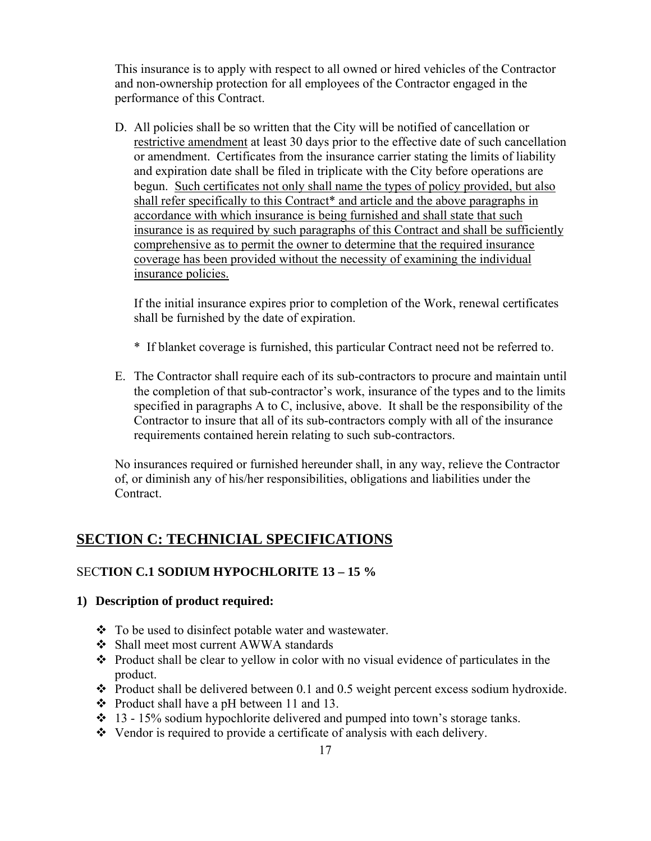This insurance is to apply with respect to all owned or hired vehicles of the Contractor and non-ownership protection for all employees of the Contractor engaged in the performance of this Contract.

D. All policies shall be so written that the City will be notified of cancellation or restrictive amendment at least 30 days prior to the effective date of such cancellation or amendment. Certificates from the insurance carrier stating the limits of liability and expiration date shall be filed in triplicate with the City before operations are begun. Such certificates not only shall name the types of policy provided, but also shall refer specifically to this Contract\* and article and the above paragraphs in accordance with which insurance is being furnished and shall state that such insurance is as required by such paragraphs of this Contract and shall be sufficiently comprehensive as to permit the owner to determine that the required insurance coverage has been provided without the necessity of examining the individual insurance policies.

If the initial insurance expires prior to completion of the Work, renewal certificates shall be furnished by the date of expiration.

- \* If blanket coverage is furnished, this particular Contract need not be referred to.
- E. The Contractor shall require each of its sub-contractors to procure and maintain until the completion of that sub-contractor's work, insurance of the types and to the limits specified in paragraphs A to C, inclusive, above. It shall be the responsibility of the Contractor to insure that all of its sub-contractors comply with all of the insurance requirements contained herein relating to such sub-contractors.

No insurances required or furnished hereunder shall, in any way, relieve the Contractor of, or diminish any of his/her responsibilities, obligations and liabilities under the **Contract** 

## **SECTION C: TECHNICIAL SPECIFICATIONS**

## SEC**TION C.1 SODIUM HYPOCHLORITE 13 – 15 %**

## **1) Description of product required:**

- To be used to disinfect potable water and wastewater.
- Shall meet most current AWWA standards
- $\triangle$  Product shall be clear to yellow in color with no visual evidence of particulates in the product.
- $\cdot \cdot$  Product shall be delivered between 0.1 and 0.5 weight percent excess sodium hydroxide.
- $\div$  Product shall have a pH between 11 and 13.
- $\div$  13 15% sodium hypochlorite delivered and pumped into town's storage tanks.
- Vendor is required to provide a certificate of analysis with each delivery.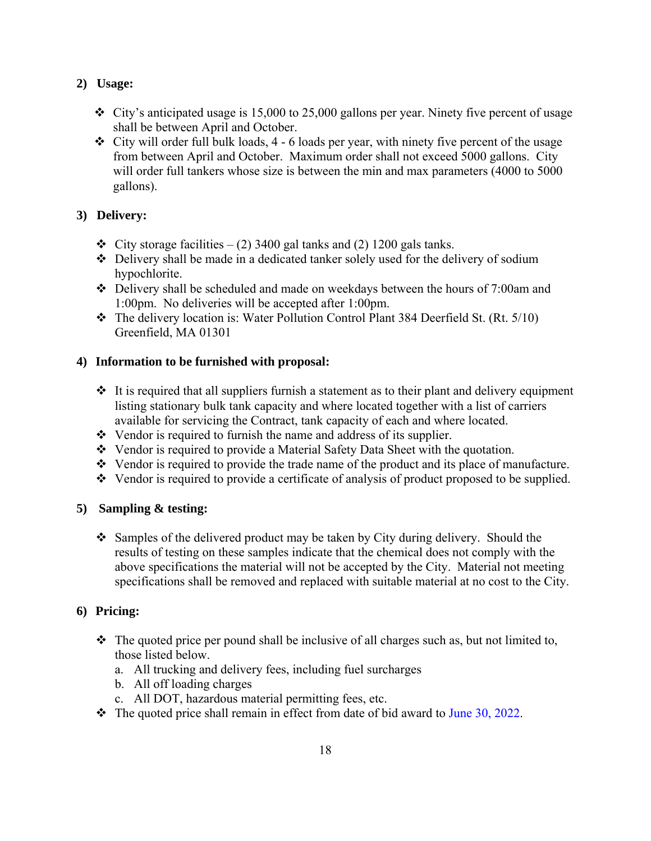## **2) Usage:**

- $\div$  City's anticipated usage is 15,000 to 25,000 gallons per year. Ninety five percent of usage shall be between April and October.
- $\div$  City will order full bulk loads, 4 6 loads per year, with ninety five percent of the usage from between April and October. Maximum order shall not exceed 5000 gallons. City will order full tankers whose size is between the min and max parameters (4000 to 5000) gallons).

## **3) Delivery:**

- $\div$  City storage facilities (2) 3400 gal tanks and (2) 1200 gals tanks.
- Delivery shall be made in a dedicated tanker solely used for the delivery of sodium hypochlorite.
- Delivery shall be scheduled and made on weekdays between the hours of 7:00am and 1:00pm. No deliveries will be accepted after 1:00pm.
- $\div$  The delivery location is: Water Pollution Control Plant 384 Deerfield St. (Rt. 5/10) Greenfield, MA 01301

## **4) Information to be furnished with proposal:**

- $\cdot$  It is required that all suppliers furnish a statement as to their plant and delivery equipment listing stationary bulk tank capacity and where located together with a list of carriers available for servicing the Contract, tank capacity of each and where located.
- $\triangleleft$  Vendor is required to furnish the name and address of its supplier.
- Vendor is required to provide a Material Safety Data Sheet with the quotation.
- Vendor is required to provide the trade name of the product and its place of manufacture.
- Vendor is required to provide a certificate of analysis of product proposed to be supplied.

## **5) Sampling & testing:**

• Samples of the delivered product may be taken by City during delivery. Should the results of testing on these samples indicate that the chemical does not comply with the above specifications the material will not be accepted by the City. Material not meeting specifications shall be removed and replaced with suitable material at no cost to the City.

- $\cdot \cdot$  The quoted price per pound shall be inclusive of all charges such as, but not limited to, those listed below.
	- a. All trucking and delivery fees, including fuel surcharges
	- b. All off loading charges
	- c. All DOT, hazardous material permitting fees, etc.
- $\cdot \cdot$  The quoted price shall remain in effect from date of bid award to June 30, 2022.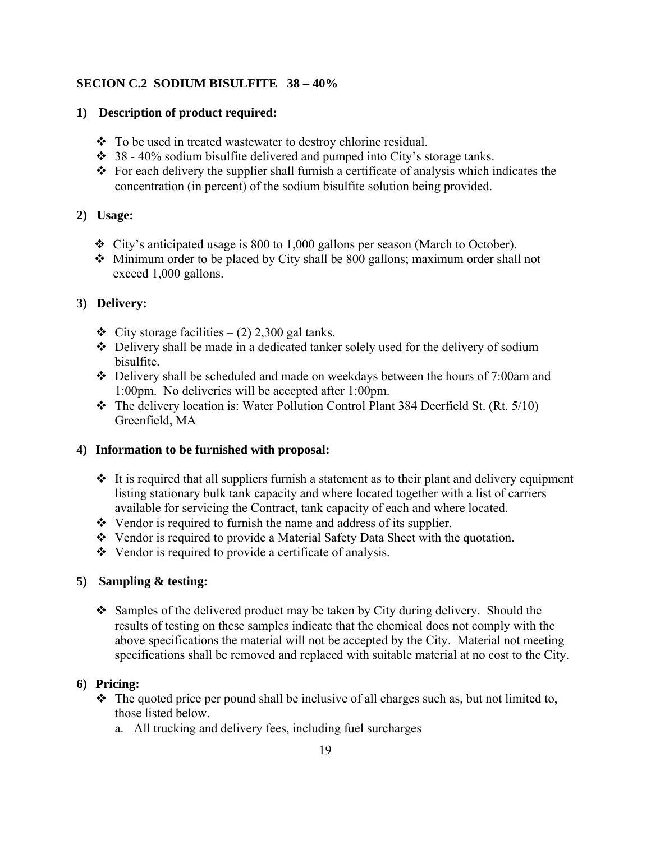## **SECION C.2 SODIUM BISULFITE 38 – 40%**

## **1) Description of product required:**

- To be used in treated wastewater to destroy chlorine residual.
- $\div$  38 40% sodium bisulfite delivered and pumped into City's storage tanks.
- $\cdot \cdot$  For each delivery the supplier shall furnish a certificate of analysis which indicates the concentration (in percent) of the sodium bisulfite solution being provided.

## **2) Usage:**

- City's anticipated usage is 800 to 1,000 gallons per season (March to October).
- Minimum order to be placed by City shall be 800 gallons; maximum order shall not exceed 1,000 gallons.

## **3) Delivery:**

- $\div$  City storage facilities (2) 2,300 gal tanks.
- Delivery shall be made in a dedicated tanker solely used for the delivery of sodium bisulfite.
- Delivery shall be scheduled and made on weekdays between the hours of 7:00am and 1:00pm. No deliveries will be accepted after 1:00pm.
- \* The delivery location is: Water Pollution Control Plant 384 Deerfield St. (Rt. 5/10) Greenfield, MA

## **4) Information to be furnished with proposal:**

- $\cdot$  It is required that all suppliers furnish a statement as to their plant and delivery equipment listing stationary bulk tank capacity and where located together with a list of carriers available for servicing the Contract, tank capacity of each and where located.
- $\triangleleft$  Vendor is required to furnish the name and address of its supplier.
- Vendor is required to provide a Material Safety Data Sheet with the quotation.
- Vendor is required to provide a certificate of analysis.

## **5) Sampling & testing:**

 Samples of the delivered product may be taken by City during delivery. Should the results of testing on these samples indicate that the chemical does not comply with the above specifications the material will not be accepted by the City. Material not meeting specifications shall be removed and replaced with suitable material at no cost to the City.

- $\hat{\mathbf{v}}$  The quoted price per pound shall be inclusive of all charges such as, but not limited to, those listed below.
	- a. All trucking and delivery fees, including fuel surcharges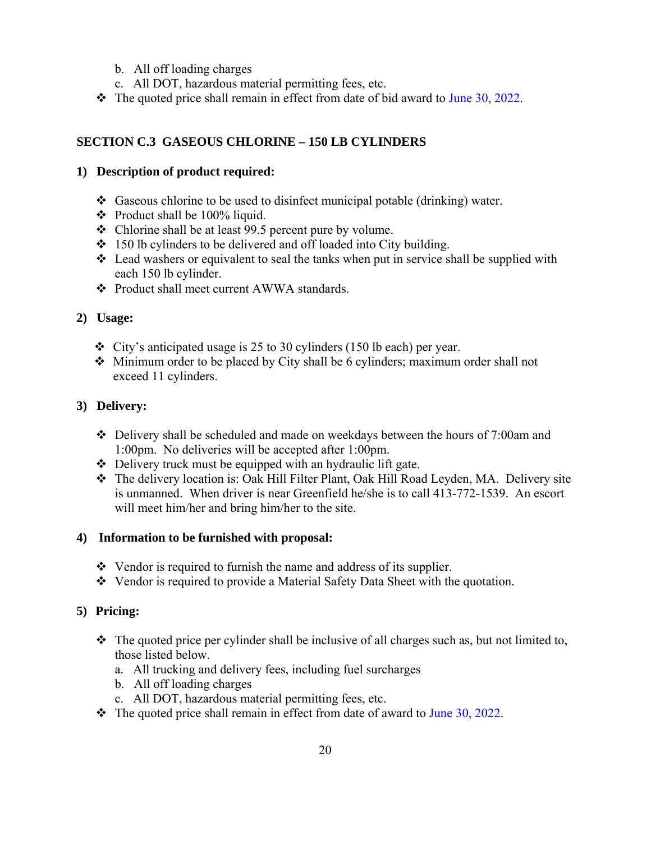- b. All off loading charges
- c. All DOT, hazardous material permitting fees, etc.
- $\div$  The quoted price shall remain in effect from date of bid award to June 30, 2022.

## **SECTION C.3 GASEOUS CHLORINE – 150 LB CYLINDERS**

## **1) Description of product required:**

- $\triangleleft$  Gaseous chlorine to be used to disinfect municipal potable (drinking) water.
- $\div$  Product shall be 100% liquid.
- Chlorine shall be at least 99.5 percent pure by volume.
- $\div$  150 lb cylinders to be delivered and off loaded into City building.
- $\triangleleft$  Lead washers or equivalent to seal the tanks when put in service shall be supplied with each 150 lb cylinder.
- Product shall meet current AWWA standards.

## **2) Usage:**

- $\div$  City's anticipated usage is 25 to 30 cylinders (150 lb each) per year.
- $\triangleleft$  Minimum order to be placed by City shall be 6 cylinders; maximum order shall not exceed 11 cylinders.

## **3) Delivery:**

- $\div$  Delivery shall be scheduled and made on weekdays between the hours of 7:00am and 1:00pm. No deliveries will be accepted after 1:00pm.
- $\triangle$  Delivery truck must be equipped with an hydraulic lift gate.
- The delivery location is: Oak Hill Filter Plant, Oak Hill Road Leyden, MA. Delivery site is unmanned. When driver is near Greenfield he/she is to call 413-772-1539. An escort will meet him/her and bring him/her to the site.

## **4) Information to be furnished with proposal:**

- $\triangleleft$  Vendor is required to furnish the name and address of its supplier.
- Vendor is required to provide a Material Safety Data Sheet with the quotation.

- $\cdot \cdot$  The quoted price per cylinder shall be inclusive of all charges such as, but not limited to, those listed below.
	- a. All trucking and delivery fees, including fuel surcharges
	- b. All off loading charges
	- c. All DOT, hazardous material permitting fees, etc.
- $\cdot \cdot$  The quoted price shall remain in effect from date of award to June 30, 2022.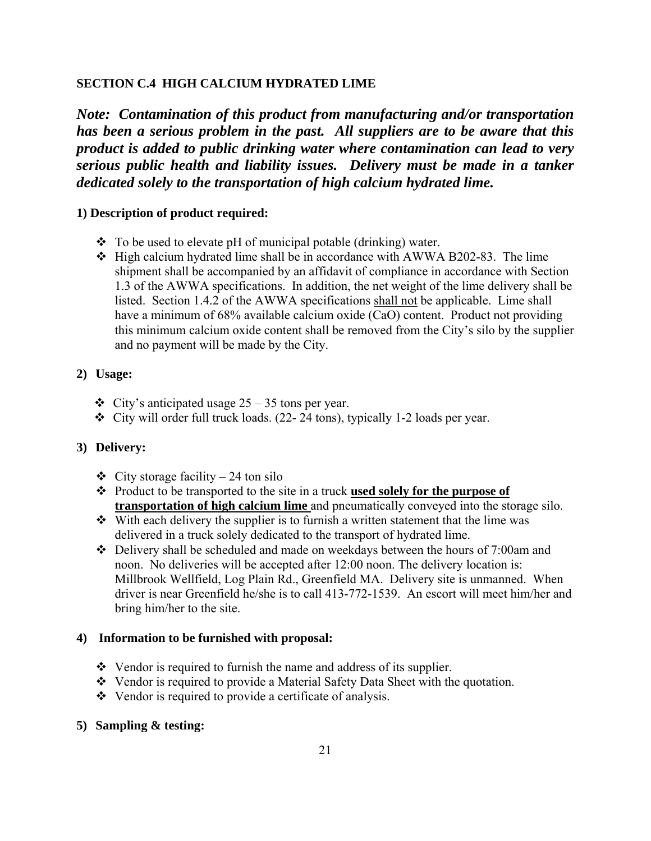#### **SECTION C.4 HIGH CALCIUM HYDRATED LIME**

*Note: Contamination of this product from manufacturing and/or transportation has been a serious problem in the past. All suppliers are to be aware that this product is added to public drinking water where contamination can lead to very serious public health and liability issues. Delivery must be made in a tanker dedicated solely to the transportation of high calcium hydrated lime.* 

#### **1) Description of product required:**

- $\bullet$  To be used to elevate pH of municipal potable (drinking) water.
- $\div$  High calcium hydrated lime shall be in accordance with AWWA B202-83. The lime shipment shall be accompanied by an affidavit of compliance in accordance with Section 1.3 of the AWWA specifications. In addition, the net weight of the lime delivery shall be listed. Section 1.4.2 of the AWWA specifications shall not be applicable. Lime shall have a minimum of 68% available calcium oxide (CaO) content. Product not providing this minimum calcium oxide content shall be removed from the City's silo by the supplier and no payment will be made by the City.

## **2) Usage:**

- $\div$  City's anticipated usage 25 35 tons per year.
- $\div$  City will order full truck loads. (22- 24 tons), typically 1-2 loads per year.

## **3) Delivery:**

- $\div$  City storage facility 24 ton silo
- Product to be transported to the site in a truck **used solely for the purpose of transportation of high calcium lime** and pneumatically conveyed into the storage silo.
- $\cdot$  With each delivery the supplier is to furnish a written statement that the lime was delivered in a truck solely dedicated to the transport of hydrated lime.
- Delivery shall be scheduled and made on weekdays between the hours of 7:00am and noon. No deliveries will be accepted after 12:00 noon. The delivery location is: Millbrook Wellfield, Log Plain Rd., Greenfield MA. Delivery site is unmanned. When driver is near Greenfield he/she is to call 413-772-1539. An escort will meet him/her and bring him/her to the site.

#### **4) Information to be furnished with proposal:**

- $\triangleleft$  Vendor is required to furnish the name and address of its supplier.
- Vendor is required to provide a Material Safety Data Sheet with the quotation.
- Vendor is required to provide a certificate of analysis.
- **5) Sampling & testing:**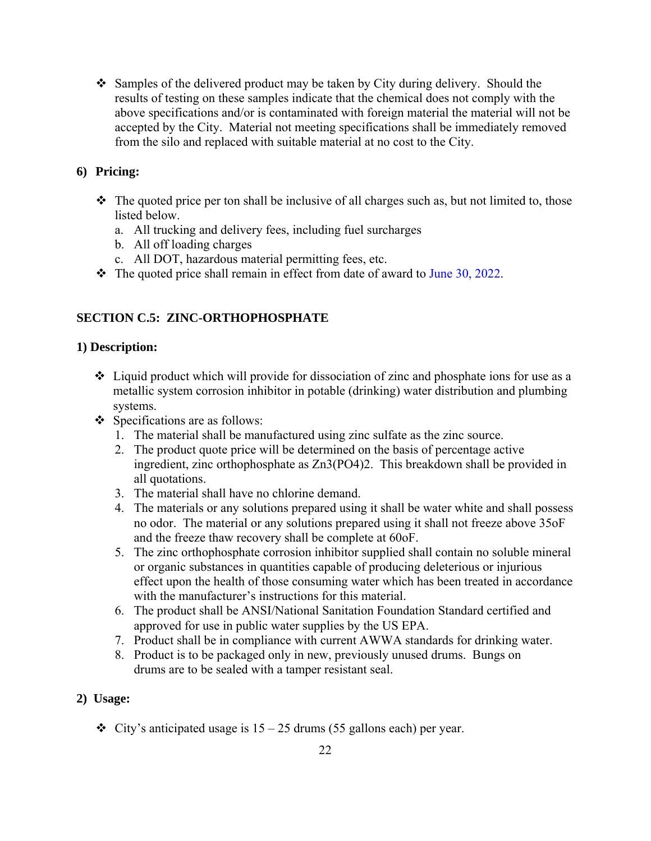$\div$  Samples of the delivered product may be taken by City during delivery. Should the results of testing on these samples indicate that the chemical does not comply with the above specifications and/or is contaminated with foreign material the material will not be accepted by the City. Material not meeting specifications shall be immediately removed from the silo and replaced with suitable material at no cost to the City.

## **6) Pricing:**

- $\triangle$  The quoted price per ton shall be inclusive of all charges such as, but not limited to, those listed below.
	- a. All trucking and delivery fees, including fuel surcharges
	- b. All off loading charges
	- c. All DOT, hazardous material permitting fees, etc.
- $\cdot \cdot$  The quoted price shall remain in effect from date of award to June 30, 2022.

## **SECTION C.5: ZINC-ORTHOPHOSPHATE**

## **1) Description:**

- $\triangleleft$  Liquid product which will provide for dissociation of zinc and phosphate ions for use as a metallic system corrosion inhibitor in potable (drinking) water distribution and plumbing systems.
- Specifications are as follows:
	- 1. The material shall be manufactured using zinc sulfate as the zinc source.
	- 2. The product quote price will be determined on the basis of percentage active ingredient, zinc orthophosphate as Zn3(PO4)2. This breakdown shall be provided in all quotations.
	- 3. The material shall have no chlorine demand.
	- 4. The materials or any solutions prepared using it shall be water white and shall possess no odor. The material or any solutions prepared using it shall not freeze above 35oF and the freeze thaw recovery shall be complete at 60oF.
	- 5. The zinc orthophosphate corrosion inhibitor supplied shall contain no soluble mineral or organic substances in quantities capable of producing deleterious or injurious effect upon the health of those consuming water which has been treated in accordance with the manufacturer's instructions for this material.
	- 6. The product shall be ANSI/National Sanitation Foundation Standard certified and approved for use in public water supplies by the US EPA.
	- 7. Product shall be in compliance with current AWWA standards for drinking water.
	- 8. Product is to be packaged only in new, previously unused drums. Bungs on drums are to be sealed with a tamper resistant seal.

## **2) Usage:**

 $\div$  City's anticipated usage is 15 – 25 drums (55 gallons each) per year.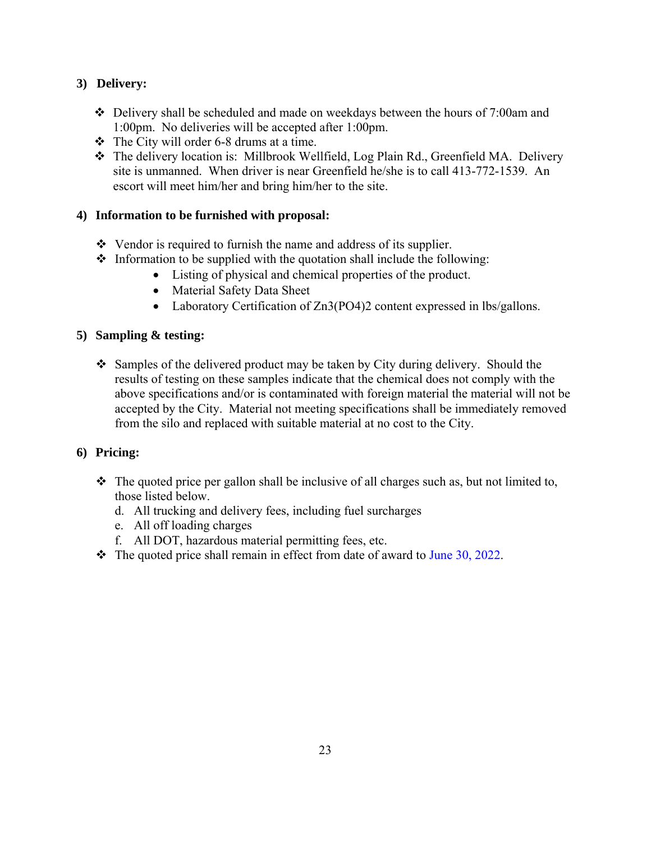## **3) Delivery:**

- Delivery shall be scheduled and made on weekdays between the hours of 7:00am and 1:00pm. No deliveries will be accepted after 1:00pm.
- $\div$  The City will order 6-8 drums at a time.
- The delivery location is: Millbrook Wellfield, Log Plain Rd., Greenfield MA. Delivery site is unmanned. When driver is near Greenfield he/she is to call 413-772-1539. An escort will meet him/her and bring him/her to the site.

## **4) Information to be furnished with proposal:**

- $\triangleleft$  Vendor is required to furnish the name and address of its supplier.
- $\cdot$  Information to be supplied with the quotation shall include the following:
	- Listing of physical and chemical properties of the product.
	- Material Safety Data Sheet
	- Laboratory Certification of Zn3(PO4)2 content expressed in lbs/gallons.

## **5) Sampling & testing:**

 $\div$  Samples of the delivered product may be taken by City during delivery. Should the results of testing on these samples indicate that the chemical does not comply with the above specifications and/or is contaminated with foreign material the material will not be accepted by the City. Material not meeting specifications shall be immediately removed from the silo and replaced with suitable material at no cost to the City.

- $\hat{\mathbf{v}}$  The quoted price per gallon shall be inclusive of all charges such as, but not limited to, those listed below.
	- d. All trucking and delivery fees, including fuel surcharges
	- e. All off loading charges
	- f. All DOT, hazardous material permitting fees, etc.
- $\cdot \cdot$  The quoted price shall remain in effect from date of award to June 30, 2022.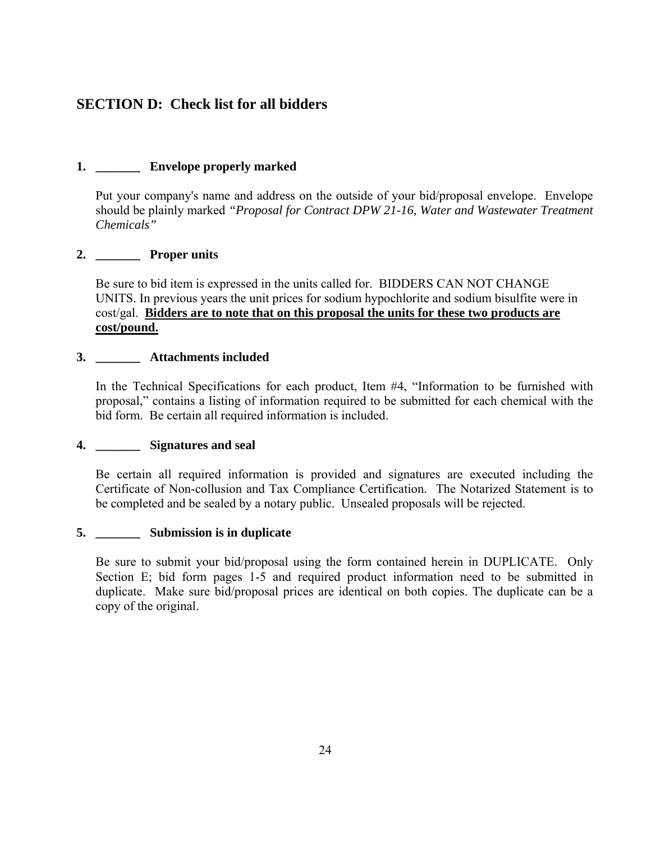## **SECTION D: Check list for all bidders**

## **1. \_\_\_\_\_\_\_ Envelope properly marked**

Put your company's name and address on the outside of your bid/proposal envelope. Envelope should be plainly marked *"Proposal for Contract DPW 21-16, Water and Wastewater Treatment Chemicals"* 

## **2. \_\_\_\_\_\_\_ Proper units**

Be sure to bid item is expressed in the units called for. BIDDERS CAN NOT CHANGE UNITS. In previous years the unit prices for sodium hypochlorite and sodium bisulfite were in cost/gal. **Bidders are to note that on this proposal the units for these two products are cost/pound.**

### **3. \_\_\_\_\_\_\_ Attachments included**

In the Technical Specifications for each product, Item #4, "Information to be furnished with proposal," contains a listing of information required to be submitted for each chemical with the bid form. Be certain all required information is included.

## **4. \_\_\_\_\_\_\_ Signatures and seal**

Be certain all required information is provided and signatures are executed including the Certificate of Non-collusion and Tax Compliance Certification. The Notarized Statement is to be completed and be sealed by a notary public. Unsealed proposals will be rejected.

#### **5. \_\_\_\_\_\_\_ Submission is in duplicate**

Be sure to submit your bid/proposal using the form contained herein in DUPLICATE. Only Section E; bid form pages 1-5 and required product information need to be submitted in duplicate. Make sure bid/proposal prices are identical on both copies. The duplicate can be a copy of the original.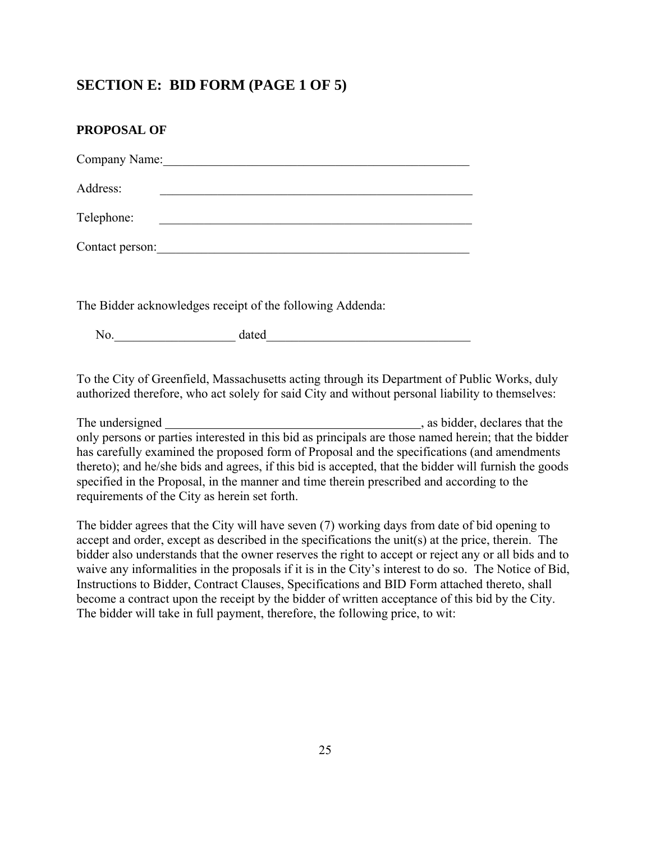## **SECTION E: BID FORM (PAGE 1 OF 5)**

| PROPOSAL OF                                               |
|-----------------------------------------------------------|
| Company Name:                                             |
| Address:                                                  |
| Telephone:                                                |
| Contact person:                                           |
|                                                           |
| The Bidder acknowledges receipt of the following Addenda: |

No. The dated  $\sim$  dated  $\sim$ 

To the City of Greenfield, Massachusetts acting through its Department of Public Works, duly authorized therefore, who act solely for said City and without personal liability to themselves:

The undersigned , as bidder, declares that the only persons or parties interested in this bid as principals are those named herein; that the bidder has carefully examined the proposed form of Proposal and the specifications (and amendments thereto); and he/she bids and agrees, if this bid is accepted, that the bidder will furnish the goods specified in the Proposal, in the manner and time therein prescribed and according to the requirements of the City as herein set forth.

The bidder agrees that the City will have seven (7) working days from date of bid opening to accept and order, except as described in the specifications the unit(s) at the price, therein. The bidder also understands that the owner reserves the right to accept or reject any or all bids and to waive any informalities in the proposals if it is in the City's interest to do so. The Notice of Bid, Instructions to Bidder, Contract Clauses, Specifications and BID Form attached thereto, shall become a contract upon the receipt by the bidder of written acceptance of this bid by the City. The bidder will take in full payment, therefore, the following price, to wit: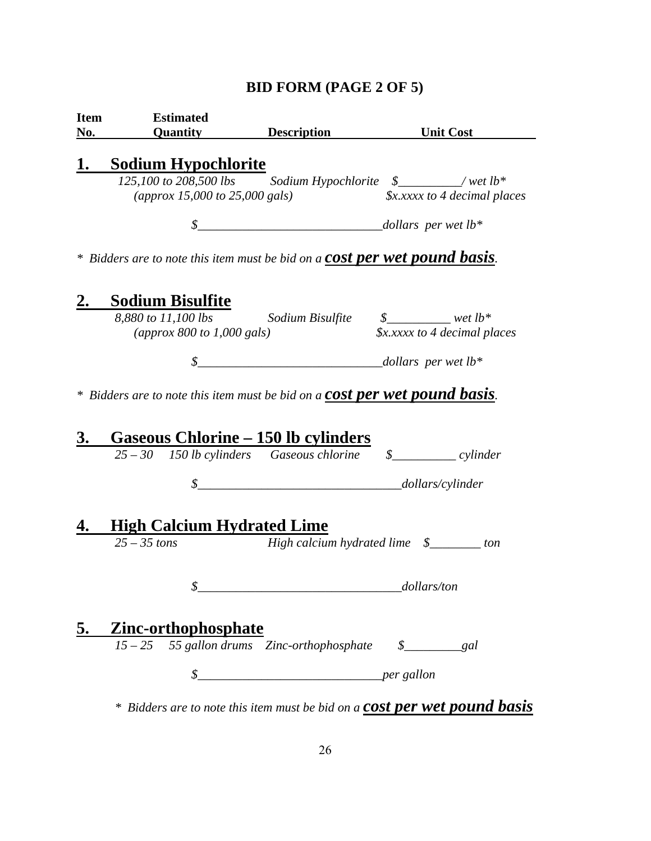# **BID FORM (PAGE 2 OF 5)**

| <b>Item</b><br>No. | <b>Estimated</b><br><b>Quantity</b>                                                                                         | <b>Description</b> | <b>Unit Cost</b>                                                                                                   |
|--------------------|-----------------------------------------------------------------------------------------------------------------------------|--------------------|--------------------------------------------------------------------------------------------------------------------|
| 1.                 | <b>Sodium Hypochlorite</b>                                                                                                  |                    |                                                                                                                    |
|                    |                                                                                                                             |                    | 125,100 to 208,500 lbs Sodium Hypochlorite \$________/wet lb*                                                      |
|                    | (approx 15,000 to 25,000 gals)                                                                                              |                    | $\oint x$ . xxxx to 4 decimal places                                                                               |
|                    | $\mathcal{S}$                                                                                                               |                    | $\frac{1}{2}$ dollars per wet lb*                                                                                  |
|                    | * Bidders are to note this item must be bid on a <b>COSt per wet pound basis</b> .                                          |                    |                                                                                                                    |
| <u>2.</u>          | <b>Sodium Bisulfite</b>                                                                                                     |                    |                                                                                                                    |
|                    | 8,880 to 11,100 lbs Sodium Bisulfite \$_______ wet lb*                                                                      |                    |                                                                                                                    |
|                    | (approx $800$ to 1,000 gals)                                                                                                |                    | <i><b>\$x.xxxx to 4 decimal places</b></i>                                                                         |
|                    |                                                                                                                             |                    |                                                                                                                    |
| <u>3.</u>          | $*$ Bidders are to note this item must be bid on a <b>COSt per wet pound basis</b> .<br>Gaseous Chlorine – 150 lb cylinders |                    |                                                                                                                    |
|                    |                                                                                                                             |                    | $25 - 30$ 150 lb cylinders Gaseous chlorine $\qquad \quad \textcircled{f}$ $\qquad \quad \textcircled{r}$ cylinder |
|                    |                                                                                                                             |                    | $\frac{1}{1}$ dollars/cylinder                                                                                     |
|                    |                                                                                                                             |                    |                                                                                                                    |
| 4.                 |                                                                                                                             |                    |                                                                                                                    |
|                    | <b>High Calcium Hydrated Lime</b><br>$25 - 35$ tons                                                                         |                    | High calcium hydrated lime \$________ ton                                                                          |
|                    | Φ                                                                                                                           |                    |                                                                                                                    |
|                    |                                                                                                                             |                    |                                                                                                                    |
| <u>5.</u>          | <u>Zinc-orthophosphate</u>                                                                                                  |                    |                                                                                                                    |
|                    | $15 - 25$                                                                                                                   |                    |                                                                                                                    |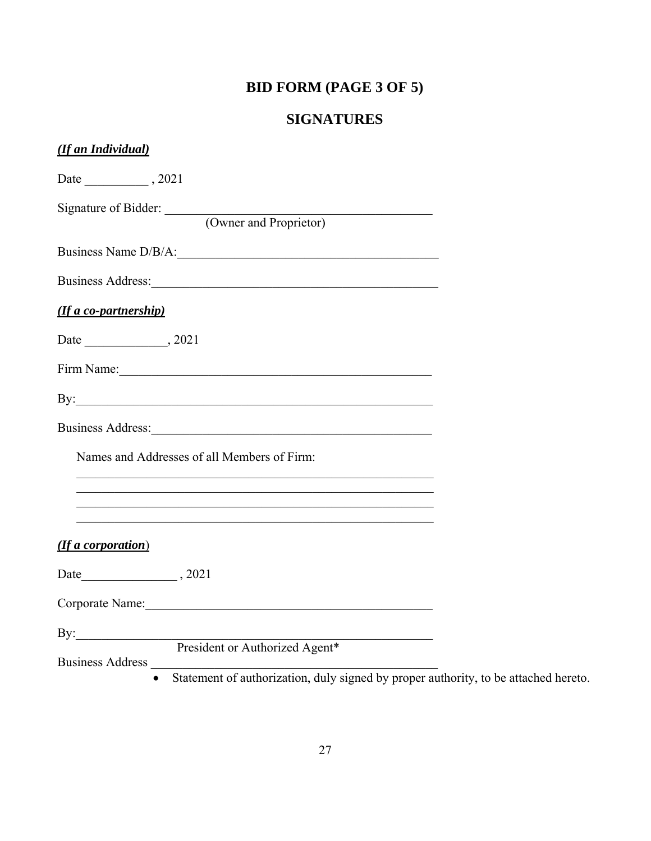# **BID FORM (PAGE 3 OF 5)**

# **SIGNATURES**

| (If an Individual)                                                                                                                                                                                                            |
|-------------------------------------------------------------------------------------------------------------------------------------------------------------------------------------------------------------------------------|
|                                                                                                                                                                                                                               |
| Signature of Bidder:<br>(Owner and Proprietor)                                                                                                                                                                                |
| Business Name D/B/A:                                                                                                                                                                                                          |
|                                                                                                                                                                                                                               |
| (If a co-partnership)                                                                                                                                                                                                         |
|                                                                                                                                                                                                                               |
| Firm Name: 1988. The Same School of the School of the School of the School of the School of the School of the School of the School of the School of the School of the School of the School of the School of the School of the |
| By:                                                                                                                                                                                                                           |
| Business Address: 1988 and 1988 and 1988 and 1988 and 1988 and 1988 and 1988 and 1988 and 1988 and 1988 and 19                                                                                                                |
| Names and Addresses of all Members of Firm:                                                                                                                                                                                   |
|                                                                                                                                                                                                                               |
|                                                                                                                                                                                                                               |
| (If a corporation)                                                                                                                                                                                                            |
|                                                                                                                                                                                                                               |
| Corporate Name: 2008                                                                                                                                                                                                          |
|                                                                                                                                                                                                                               |
| By: President or Authorized Agent*                                                                                                                                                                                            |

Statement of authorization, duly signed by proper authority, to be attached hereto.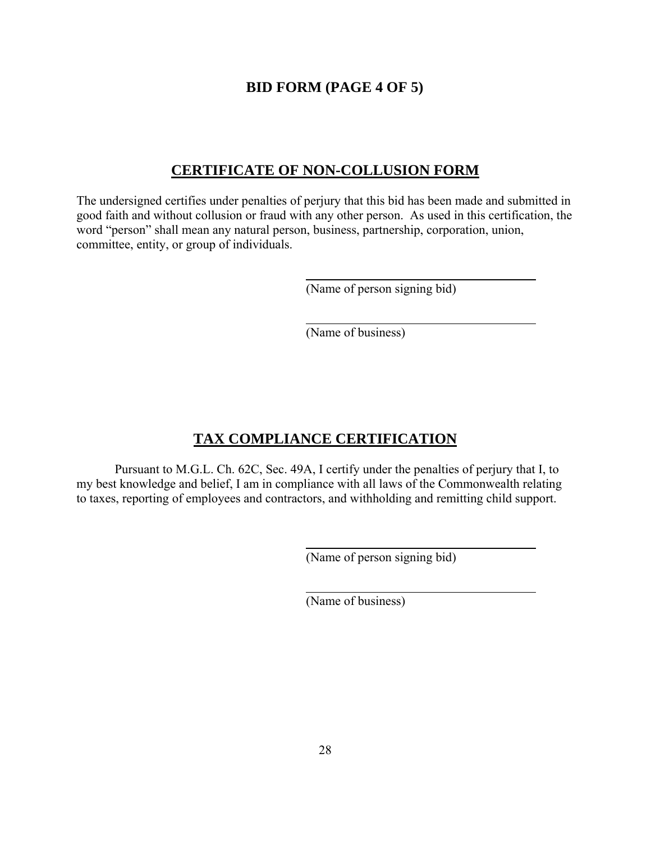## **BID FORM (PAGE 4 OF 5)**

## **CERTIFICATE OF NON-COLLUSION FORM**

The undersigned certifies under penalties of perjury that this bid has been made and submitted in good faith and without collusion or fraud with any other person. As used in this certification, the word "person" shall mean any natural person, business, partnership, corporation, union, committee, entity, or group of individuals.

(Name of person signing bid)

(Name of business)

## **TAX COMPLIANCE CERTIFICATION**

 Pursuant to M.G.L. Ch. 62C, Sec. 49A, I certify under the penalties of perjury that I, to my best knowledge and belief, I am in compliance with all laws of the Commonwealth relating to taxes, reporting of employees and contractors, and withholding and remitting child support.

(Name of person signing bid)

(Name of business)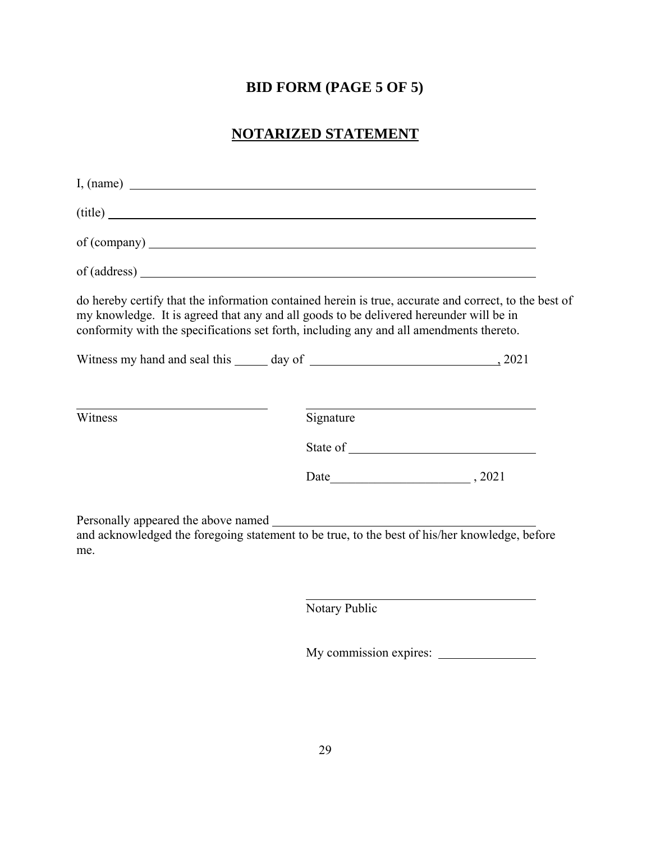# **BID FORM (PAGE 5 OF 5)**

# **NOTARIZED STATEMENT**

| I, (name)                                                                                                                                                                                                                                                                                  |           |  |
|--------------------------------------------------------------------------------------------------------------------------------------------------------------------------------------------------------------------------------------------------------------------------------------------|-----------|--|
| $\text{(title)}$                                                                                                                                                                                                                                                                           |           |  |
|                                                                                                                                                                                                                                                                                            |           |  |
|                                                                                                                                                                                                                                                                                            |           |  |
| do hereby certify that the information contained herein is true, accurate and correct, to the best of<br>my knowledge. It is agreed that any and all goods to be delivered hereunder will be in<br>conformity with the specifications set forth, including any and all amendments thereto. |           |  |
|                                                                                                                                                                                                                                                                                            |           |  |
|                                                                                                                                                                                                                                                                                            |           |  |
| Witness                                                                                                                                                                                                                                                                                    | Signature |  |
|                                                                                                                                                                                                                                                                                            |           |  |
|                                                                                                                                                                                                                                                                                            |           |  |
| and acknowledged the foregoing statement to be true, to the best of his/her knowledge, before<br>me.                                                                                                                                                                                       |           |  |

Notary Public

My commission expires: